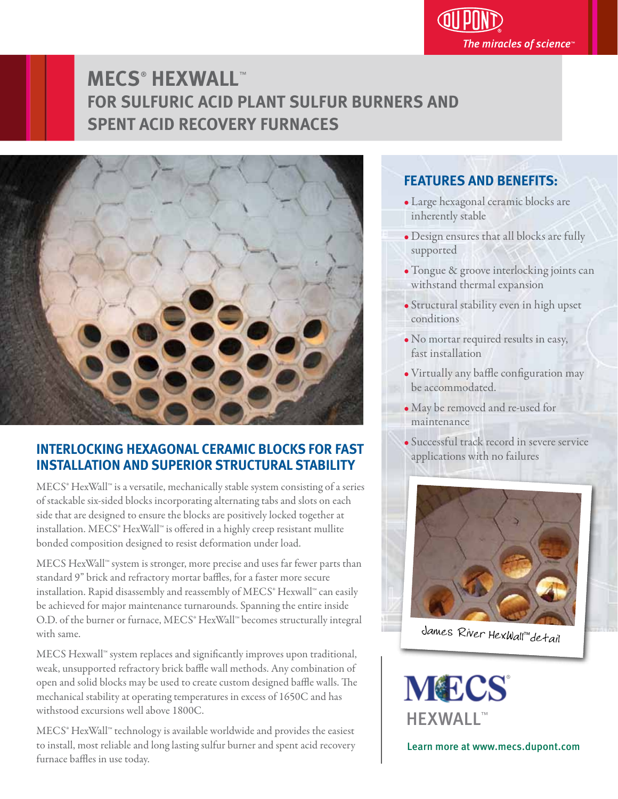

# **MECS**®  **HEXWALL**™ **FOR SULFURIC ACID PLANT SULFUR BURNERS AND SPENT ACID RECOVERY FURNACES**



## **INTERLOCKING HEXAGONAL CERAMIC BLOCKS FOR FAST INSTALLATION AND SUPERIOR STRUCTURAL STABILITY** j

MECS® HexWall™ is a versatile, mechanically stable system consisting of a series of stackable six-sided blocks incorporating alternating tabs and slots on each side that are designed to ensure the blocks are positively locked together at installation. MECS<sup>®</sup> HexWall™ is offered in a highly creep resistant mullite bonded composition designed to resist deformation under load. j

MECS HexWall™ system is stronger, more precise and uses far fewer parts than standard 9" brick and refractory mortar baffles, for a faster more secure installation. Rapid disassembly and reassembly of MECS® Hexwall™ can easily be achieved for major maintenance turnarounds. Spanning the entire inside O.D. of the burner or furnace, MECS® HexWall™ becomes structurally integral with same. I

MECS Hexwall™ system replaces and significantly improves upon traditional, weak, unsupported refractory brick baffle wall methods. Any combination of open and solid blocks may be used to create custom designed baffle walls. The mechanical stability at operating temperatures in excess of 1650C and has withstood excursions well above 1800C. I

MECS® HexWall™ technology is available worldwide and provides the easiest to install, most reliable and long lasting sulfur burner and spent acid recovery furnace baffles in use today.

## **FEATURES AND BENEFITS:**

- Large hexagonal ceramic blocks are inherently stable
- Design ensures that all blocks are fully supported
- Tongue & groove interlocking joints can withstand thermal expansion
- Structural stability even in high upset conditions
- No mortar required results in easy, fast installation
- Virtually any baffle configuration may be accommodated.
- May be removed and re-used for maintenance
- · Successful track record in severe service applications with no failures



James River HexWall™detail

**MECS** HEXWALL™

Learn more at www.mecs.dupont.com